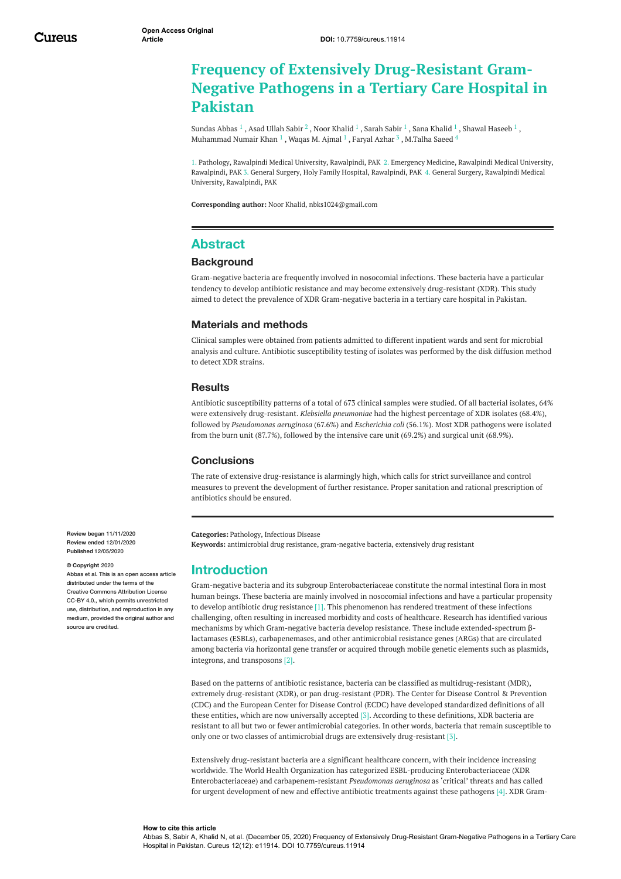# **Frequency of Extensively Drug-Resistant Gram-Negative Pathogens in a Tertiary Care Hospital in Pakistan**

[Sundas](https://www.cureus.com/users/196884-sundas-abbas) Abbas  $^1$  , Asad [Ullah](https://www.cureus.com/users/196878-asad-ullah-sabir) Sabir  $^2$  , Noor [Khalid](https://www.cureus.com/users/203931-sana-khalid)  $^1$  , [Sarah](https://www.cureus.com/users/188446-sarah-sabir) Sabir  $^1$  , Sana Khalid  $^1$  , Shawal [Haseeb](https://www.cureus.com/users/203869-shawal-haseeb)  $^1$  , [Muhammad](https://www.cureus.com/users/203870-muhammad-numair-khan) Numair Khan  $^1$  , [Waqas](https://www.cureus.com/users/203867-waqas-m-ajmal) M. Ajmal  $^1$  , [Faryal](https://www.cureus.com/users/181691-faryal-azhar) Azhar  $^3$  , [M.Talha](https://www.cureus.com/users/204020-m-talha-saeed) Saeed  $^4$ 

1. Pathology, Rawalpindi Medical University, Rawalpindi, PAK 2. Emergency Medicine, Rawalpindi Medical University, Rawalpindi, PAK 3. General Surgery, Holy Family Hospital, Rawalpindi, PAK 4. General Surgery, Rawalpindi Medical University, Rawalpindi, PAK

**Corresponding author:** Noor Khalid, nbks1024@gmail.com

### **Abstract**

#### **Background**

Gram-negative bacteria are frequently involved in nosocomial infections. These bacteria have a particular tendency to develop antibiotic resistance and may become extensively drug-resistant (XDR). This study aimed to detect the prevalence of XDR Gram-negative bacteria in a tertiary care hospital in Pakistan.

#### **Materials and methods**

Clinical samples were obtained from patients admitted to different inpatient wards and sent for microbial analysis and culture. Antibiotic susceptibility testing of isolates was performed by the disk diffusion method to detect XDR strains.

#### **Results**

Antibiotic susceptibility patterns of a total of 673 clinical samples were studied. Of all bacterial isolates, 64% were extensively drug-resistant. *Klebsiella pneumoniae* had the highest percentage of XDR isolates (68.4%), followed by *Pseudomonas aeruginosa* (67.6%) and *Escherichia coli* (56.1%). Most XDR pathogens were isolated from the burn unit (87.7%), followed by the intensive care unit (69.2%) and surgical unit (68.9%).

#### **Conclusions**

The rate of extensive drug-resistance is alarmingly high, which calls for strict surveillance and control measures to prevent the development of further resistance. Proper sanitation and rational prescription of antibiotics should be ensured.

**Categories:** Pathology, Infectious Disease **Keywords:** antimicrobial drug resistance, gram-negative bacteria, extensively drug resistant

### **Introduction**

Gram-negative bacteria and its subgroup Enterobacteriaceae constitute the normal intestinal flora in most human beings. These bacteria are mainly involved in nosocomial infections and have a particular propensity to develop antibiotic drug resistance [1]. This phenomenon has rendered treatment of these infections challenging, often resulting in increased morbidity and costs of healthcare. Research has identified various mechanisms by which Gram-negative bacteria develop resistance. These include extended-spectrum βlactamases (ESBLs), carbapenemases, and other antimicrobial resistance genes (ARGs) that are circulated among bacteria via horizontal gene transfer or acquired through mobile genetic elements such as plasmids, integrons, and transposons [2].

Based on the patterns of antibiotic resistance, bacteria can be classified as multidrug-resistant (MDR), extremely drug-resistant (XDR), or pan drug-resistant (PDR). The Center for Disease Control & Prevention (CDC) and the European Center for Disease Control (ECDC) have developed standardized definitions of all these entities, which are now universally accepted [3]. According to these definitions, XDR bacteria are resistant to all but two or fewer antimicrobial categories. In other words, bacteria that remain susceptible to only one or two classes of antimicrobial drugs are extensively drug-resistant [3].

Extensively drug-resistant bacteria are a significant healthcare concern, with their incidence increasing worldwide. The World Health Organization has categorized ESBL-producing Enterobacteriaceae (XDR Enterobacteriaceae) and carbapenem-resistant *Pseudomonas aeruginosa* as 'critical' threats and has called for urgent development of new and effective antibiotic treatments against these pathogens [4]. XDR Gram-

**Review began** 11/11/2020 **Review ended** 12/01/2020 **Published** 12/05/2020

#### **© Copyright** 2020

Abbas et al. This is an open access article distributed under the terms of the Creative Commons Attribution License CC-BY 4.0., which permits unrestricted use, distribution, and reproduction in any medium, provided the original author and source are credited

#### **How to cite this article**

Abbas S, Sabir A, Khalid N, et al. (December 05, 2020) Frequency of Extensively Drug-Resistant Gram-Negative Pathogens in a Tertiary Care Hospital in Pakistan. Cureus 12(12): e11914. DOI 10.7759/cureus.11914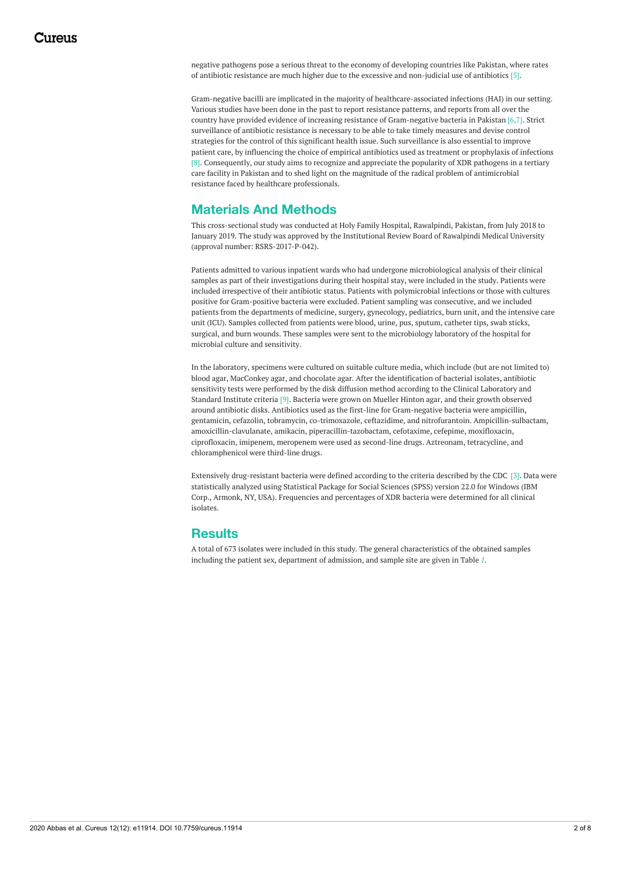negative pathogens pose a serious threat to the economy of developing countries like Pakistan, where rates of antibiotic resistance are much higher due to the excessive and non-judicial use of antibiotics [5].

Gram-negative bacilli are implicated in the majority of healthcare-associated infections (HAI) in our setting. Various studies have been done in the past to report resistance patterns, and reports from all over the country have provided evidence of increasing resistance of Gram-negative bacteria in Pakistan [6,7]. Strict surveillance of antibiotic resistance is necessary to be able to take timely measures and devise control strategies for the control of this significant health issue. Such surveillance is also essential to improve patient care, by influencing the choice of empirical antibiotics used as treatment or prophylaxis of infections [8]. Consequently, our study aims to recognize and appreciate the popularity of XDR pathogens in a tertiary care facility in Pakistan and to shed light on the magnitude of the radical problem of antimicrobial resistance faced by healthcare professionals.

# **Materials And Methods**

This cross-sectional study was conducted at Holy Family Hospital, Rawalpindi, Pakistan, from July 2018 to January 2019. The study was approved by the Institutional Review Board of Rawalpindi Medical University (approval number: RSRS-2017-P-042).

Patients admitted to various inpatient wards who had undergone microbiological analysis of their clinical samples as part of their investigations during their hospital stay, were included in the study. Patients were included irrespective of their antibiotic status. Patients with polymicrobial infections or those with cultures positive for Gram-positive bacteria were excluded. Patient sampling was consecutive, and we included patients from the departments of medicine, surgery, gynecology, pediatrics, burn unit, and the intensive care unit (ICU). Samples collected from patients were blood, urine, pus, sputum, catheter tips, swab sticks, surgical, and burn wounds. These samples were sent to the microbiology laboratory of the hospital for microbial culture and sensitivity.

In the laboratory, specimens were cultured on suitable culture media, which include (but are not limited to) blood agar, MacConkey agar, and chocolate agar. After the identification of bacterial isolates, antibiotic sensitivity tests were performed by the disk diffusion method according to the Clinical Laboratory and Standard Institute criteria [9]. Bacteria were grown on Mueller Hinton agar, and their growth observed around antibiotic disks. Antibiotics used as the first-line for Gram-negative bacteria were ampicillin, gentamicin, cefazolin, tobramycin, co-trimoxazole, ceftazidime, and nitrofurantoin. Ampicillin-sulbactam, amoxicillin-clavulanate, amikacin, piperacillin-tazobactam, cefotaxime, cefepime, moxifloxacin, ciprofloxacin, imipenem, meropenem were used as second-line drugs. Aztreonam, tetracycline, and chloramphenicol were third-line drugs.

Extensively drug-resistant bacteria were defined according to the criteria described by the CDC [3]. Data were statistically analyzed using Statistical Package for Social Sciences (SPSS) version 22.0 for Windows (IBM Corp., Armonk, NY, USA). Frequencies and percentages of XDR bacteria were determined for all clinical isolates.

### **Results**

A total of 673 isolates were included in this study. The general characteristics of the obtained samples including the patient sex, department of admission, and sample site are given in Table *[1](#page-2-0)*.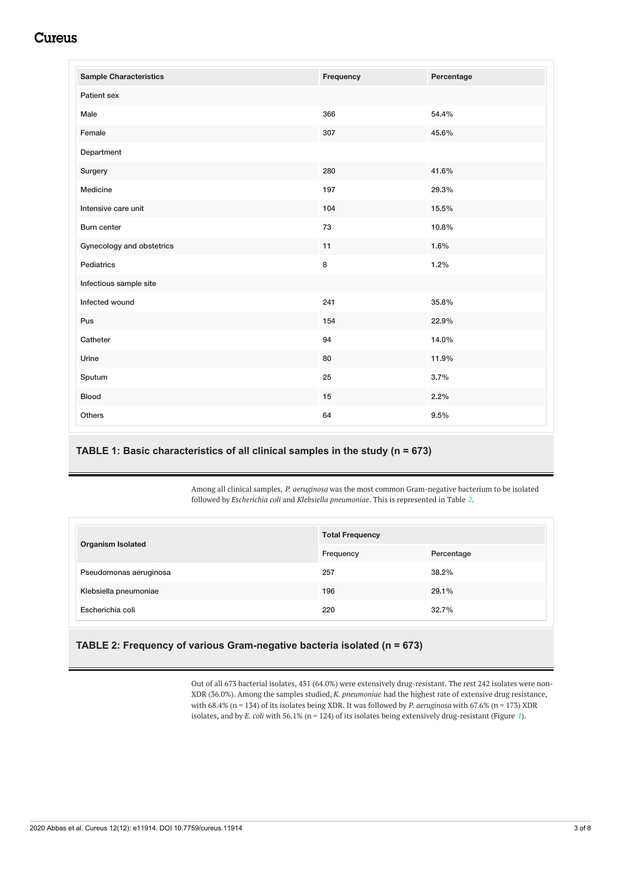# **Cureus**

<span id="page-2-0"></span>

| <b>Sample Characteristics</b> | Frequency | Percentage |
|-------------------------------|-----------|------------|
| Patient sex                   |           |            |
| Male                          | 366       | 54.4%      |
| Female                        | 307       | 45.6%      |
| Department                    |           |            |
| Surgery                       | 280       | 41.6%      |
| Medicine                      | 197       | 29.3%      |
| Intensive care unit           | 104       | 15.5%      |
| Burn center                   | 73        | 10.8%      |
| Gynecology and obstetrics     | 11        | 1.6%       |
| Pediatrics                    | 8         | 1.2%       |
| Infectious sample site        |           |            |
| Infected wound                | 241       | 35.8%      |
| Pus                           | 154       | 22.9%      |
| Catheter                      | 94        | 14.0%      |
| Urine                         | 80        | 11.9%      |
| Sputum                        | 25        | 3.7%       |
| <b>Blood</b>                  | 15        | 2.2%       |
| Others                        | 64        | 9.5%       |

### **TABLE 1: Basic characteristics of all clinical samples in the study (n = 673)**

Among all clinical samples, *P. aeruginosa* was the most common Gram-negative bacterium to be isolated followed by *Escherichia coli* and *Klebsiella pneumoniae*. This is represented in Table *[2](#page-2-1)*.

<span id="page-2-1"></span>

| <b>Organism Isolated</b> | <b>Total Frequency</b> |            |  |
|--------------------------|------------------------|------------|--|
|                          | Frequency              | Percentage |  |
| Pseudomonas aeruginosa   | 257                    | 38.2%      |  |
| Klebsiella pneumoniae    | 196                    | 29.1%      |  |
| Escherichia coli         | 220                    | 32.7%      |  |

#### **TABLE 2: Frequency of various Gram-negative bacteria isolated (n = 673)**

Out of all 673 bacterial isolates, 431 (64.0%) were extensively drug-resistant. The rest 242 isolates were non-XDR (36.0%). Among the samples studied, *K. pneumoniae* had the highest rate of extensive drug resistance, with 68.4% (n = 134) of its isolates being XDR. It was followed by *P. aeruginosa* with 67.6% (n = 173) XDR isolates, and by *E. coli* with 56.1% (n = 124) of its isolates being extensively drug-resistant (Figure *[1](#page-3-0)*).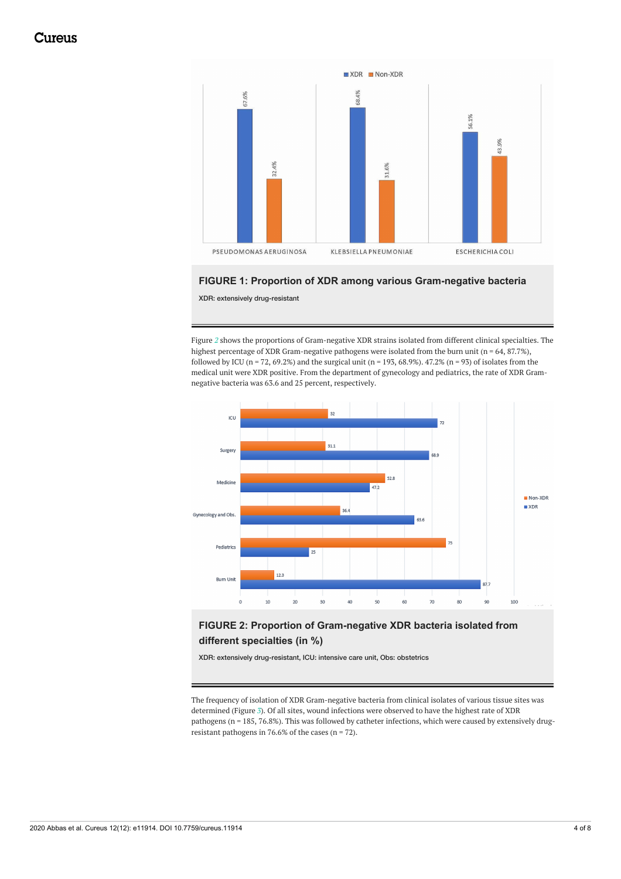<span id="page-3-0"></span>

#### **FIGURE 1: Proportion of XDR among various Gram-negative bacteria**

XDR: extensively drug-resistant

Figure *[2](#page-3-1)* shows the proportions of Gram-negative XDR strains isolated from different clinical specialties. The highest percentage of XDR Gram-negative pathogens were isolated from the burn unit ( $n = 64$ , 87.7%), followed by ICU (n = 72, 69.2%) and the surgical unit (n = 193, 68.9%). 47.2% (n = 93) of isolates from the medical unit were XDR positive. From the department of gynecology and pediatrics, the rate of XDR Gramnegative bacteria was 63.6 and 25 percent, respectively.

<span id="page-3-1"></span>

### **FIGURE 2: Proportion of Gram-negative XDR bacteria isolated from different specialties (in %)**

XDR: extensively drug-resistant, ICU: intensive care unit, Obs: obstetrics

The frequency of isolation of XDR Gram-negative bacteria from clinical isolates of various tissue sites was determined (Figure *[3](#page-4-0)*). Of all sites, wound infections were observed to have the highest rate of XDR pathogens (n = 185, 76.8%). This was followed by catheter infections, which were caused by extensively drugresistant pathogens in 76.6% of the cases ( $n = 72$ ).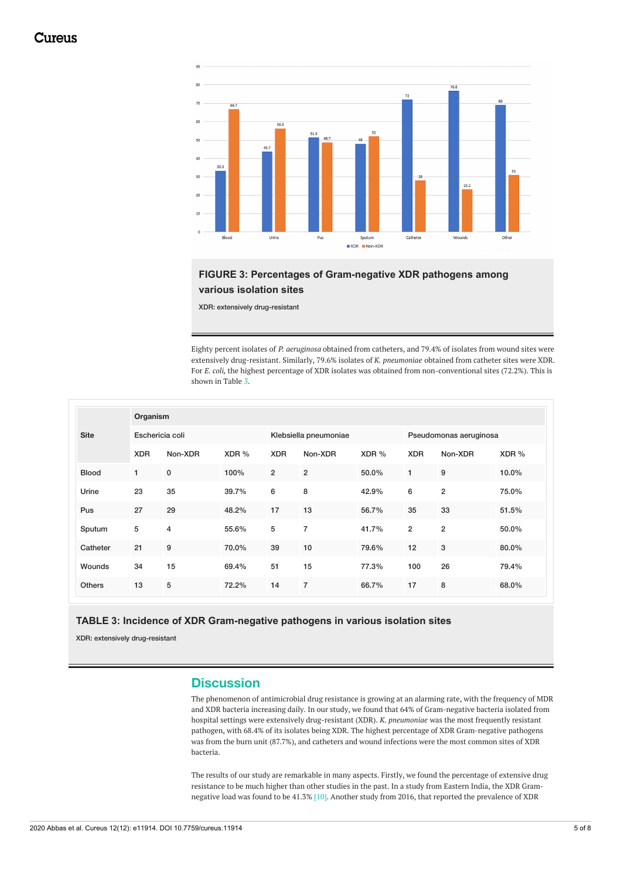<span id="page-4-0"></span>

### **FIGURE 3: Percentages of Gram-negative XDR pathogens among various isolation sites**

XDR: extensively drug-resistant

Eighty percent isolates of *P. aeruginosa* obtained from catheters, and 79.4% of isolates from wound sites were extensively drug-resistant. Similarly, 79.6% isolates of *K. pneumoniae* obtained from catheter sites were XDR. For *E. coli,* the highest percentage of XDR isolates was obtained from non-conventional sites (72.2%). This is shown in Table *[3](#page-4-1)*.

<span id="page-4-1"></span>

|               |                 | Organism  |                       |                |                        |       |                |                |       |
|---------------|-----------------|-----------|-----------------------|----------------|------------------------|-------|----------------|----------------|-------|
| <b>Site</b>   | Eschericia coli |           | Klebsiella pneumoniae |                | Pseudomonas aeruginosa |       |                |                |       |
|               | <b>XDR</b>      | Non-XDR   | XDR %                 | <b>XDR</b>     | Non-XDR                | XDR % | <b>XDR</b>     | Non-XDR        | XDR % |
| <b>Blood</b>  | $\mathbf{1}$    | $\pmb{0}$ | 100%                  | $\overline{2}$ | $\overline{2}$         | 50.0% | 1              | 9              | 10.0% |
| Urine         | 23              | 35        | 39.7%                 | 6              | 8                      | 42.9% | 6              | $\overline{2}$ | 75.0% |
| Pus           | 27              | 29        | 48.2%                 | 17             | 13                     | 56.7% | 35             | 33             | 51.5% |
| Sputum        | 5               | 4         | 55.6%                 | 5              | $\overline{7}$         | 41.7% | $\overline{2}$ | $\overline{2}$ | 50.0% |
| Catheter      | 21              | 9         | 70.0%                 | 39             | 10                     | 79.6% | 12             | 3              | 80.0% |
| Wounds        | 34              | 15        | 69.4%                 | 51             | 15                     | 77.3% | 100            | 26             | 79.4% |
| <b>Others</b> | 13              | 5         | 72.2%                 | 14             | $\overline{7}$         | 66.7% | 17             | 8              | 68.0% |

**TABLE 3: Incidence of XDR Gram-negative pathogens in various isolation sites**

XDR: extensively drug-resistant

#### **Discussion**

The phenomenon of antimicrobial drug resistance is growing at an alarming rate, with the frequency of MDR and XDR bacteria increasing daily. In our study, we found that 64% of Gram-negative bacteria isolated from hospital settings were extensively drug-resistant (XDR). *K. pneumoniae* was the most frequently resistant pathogen, with 68.4% of its isolates being XDR. The highest percentage of XDR Gram-negative pathogens was from the burn unit (87.7%), and catheters and wound infections were the most common sites of XDR bacteria.

The results of our study are remarkable in many aspects. Firstly, we found the percentage of extensive drug resistance to be much higher than other studies in the past. In a study from Eastern India, the XDR Gramnegative load was found to be 41.3% [10]. Another study from 2016, that reported the prevalence of XDR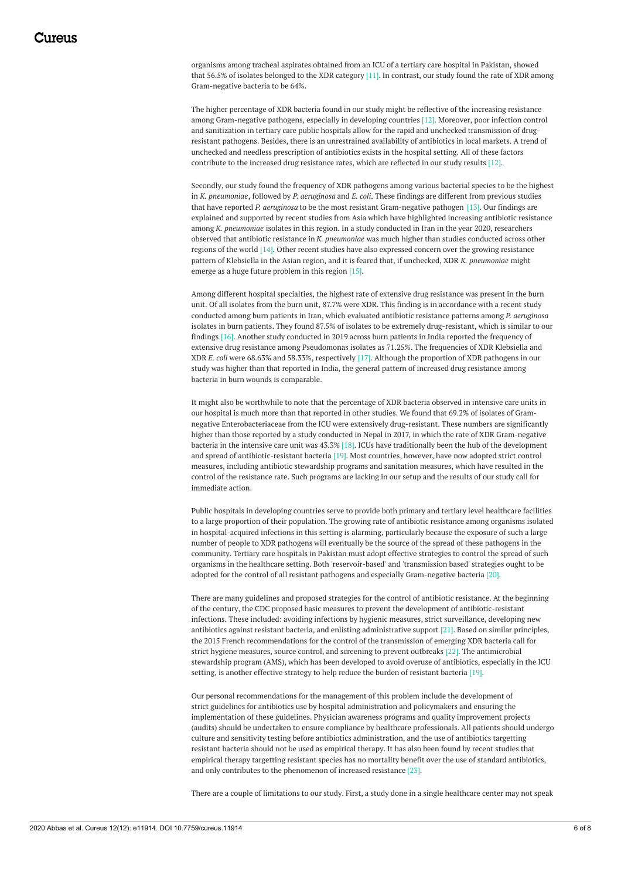organisms among tracheal aspirates obtained from an ICU of a tertiary care hospital in Pakistan, showed that 56.5% of isolates belonged to the XDR category [11]. In contrast, our study found the rate of XDR among Gram-negative bacteria to be 64%.

The higher percentage of XDR bacteria found in our study might be reflective of the increasing resistance among Gram-negative pathogens, especially in developing countries [12]. Moreover, poor infection control and sanitization in tertiary care public hospitals allow for the rapid and unchecked transmission of drugresistant pathogens. Besides, there is an unrestrained availability of antibiotics in local markets. A trend of unchecked and needless prescription of antibiotics exists in the hospital setting. All of these factors contribute to the increased drug resistance rates, which are reflected in our study results [12].

Secondly, our study found the frequency of XDR pathogens among various bacterial species to be the highest in *K. pneumoniae*, followed by *P. aeruginosa* and *E. coli*. These findings are different from previous studies that have reported *P. aeruginosa* to be the most resistant Gram-negative pathogen [13]. Our findings are explained and supported by recent studies from Asia which have highlighted increasing antibiotic resistance among *K. pneumoniae* isolates in this region. In a study conducted in Iran in the year 2020, researchers observed that antibiotic resistance in *K. pneumoniae* was much higher than studies conducted across other regions of the world [14]. Other recent studies have also expressed concern over the growing resistance pattern of Klebsiella in the Asian region, and it is feared that, if unchecked, XDR *K. pneumoniae* might emerge as a huge future problem in this region [15].

Among different hospital specialties, the highest rate of extensive drug resistance was present in the burn unit. Of all isolates from the burn unit, 87.7% were XDR. This finding is in accordance with a recent study conducted among burn patients in Iran, which evaluated antibiotic resistance patterns among *P. aeruginosa* isolates in burn patients. They found 87.5% of isolates to be extremely drug-resistant, which is similar to our findings [16]. Another study conducted in 2019 across burn patients in India reported the frequency of extensive drug resistance among Pseudomonas isolates as 71.25%. The frequencies of XDR Klebsiella and XDR *E. coli* were 68.63% and 58.33%, respectively [17]. Although the proportion of XDR pathogens in our study was higher than that reported in India, the general pattern of increased drug resistance among bacteria in burn wounds is comparable.

It might also be worthwhile to note that the percentage of XDR bacteria observed in intensive care units in our hospital is much more than that reported in other studies. We found that 69.2% of isolates of Gramnegative Enterobacteriaceae from the ICU were extensively drug-resistant. These numbers are significantly higher than those reported by a study conducted in Nepal in 2017, in which the rate of XDR Gram-negative bacteria in the intensive care unit was 43.3% [18]. ICUs have traditionally been the hub of the development and spread of antibiotic-resistant bacteria [19]. Most countries, however, have now adopted strict control measures, including antibiotic stewardship programs and sanitation measures, which have resulted in the control of the resistance rate. Such programs are lacking in our setup and the results of our study call for immediate action.

Public hospitals in developing countries serve to provide both primary and tertiary level healthcare facilities to a large proportion of their population. The growing rate of antibiotic resistance among organisms isolated in hospital-acquired infections in this setting is alarming, particularly because the exposure of such a large number of people to XDR pathogens will eventually be the source of the spread of these pathogens in the community. Tertiary care hospitals in Pakistan must adopt effective strategies to control the spread of such organisms in the healthcare setting. Both 'reservoir-based' and 'transmission based' strategies ought to be adopted for the control of all resistant pathogens and especially Gram-negative bacteria [20].

There are many guidelines and proposed strategies for the control of antibiotic resistance. At the beginning of the century, the CDC proposed basic measures to prevent the development of antibiotic-resistant infections. These included: avoiding infections by hygienic measures, strict surveillance, developing new antibiotics against resistant bacteria, and enlisting administrative support [21]. Based on similar principles, the 2015 French recommendations for the control of the transmission of emerging XDR bacteria call for strict hygiene measures, source control, and screening to prevent outbreaks [22]. The antimicrobial stewardship program (AMS), which has been developed to avoid overuse of antibiotics, especially in the ICU setting, is another effective strategy to help reduce the burden of resistant bacteria [19].

Our personal recommendations for the management of this problem include the development of strict guidelines for antibiotics use by hospital administration and policymakers and ensuring the implementation of these guidelines. Physician awareness programs and quality improvement projects (audits) should be undertaken to ensure compliance by healthcare professionals. All patients should undergo culture and sensitivity testing before antibiotics administration, and the use of antibiotics targetting resistant bacteria should not be used as empirical therapy. It has also been found by recent studies that empirical therapy targetting resistant species has no mortality benefit over the use of standard antibiotics, and only contributes to the phenomenon of increased resistance [23].

There are a couple of limitations to our study. First, a study done in a single healthcare center may not speak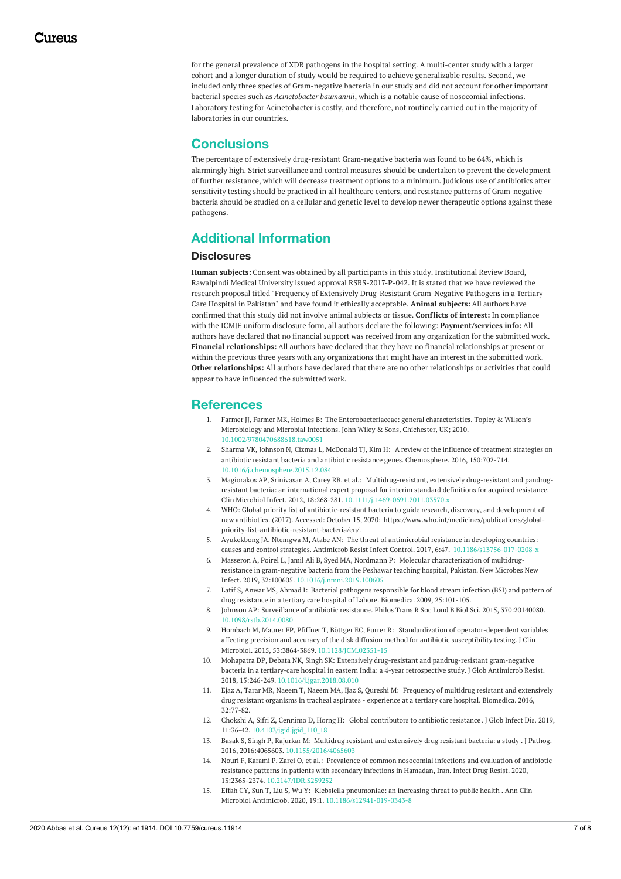for the general prevalence of XDR pathogens in the hospital setting. A multi-center study with a larger cohort and a longer duration of study would be required to achieve generalizable results. Second, we included only three species of Gram-negative bacteria in our study and did not account for other important bacterial species such as *Acinetobacter baumannii*, which is a notable cause of nosocomial infections. Laboratory testing for Acinetobacter is costly, and therefore, not routinely carried out in the majority of laboratories in our countries.

#### **Conclusions**

The percentage of extensively drug-resistant Gram-negative bacteria was found to be 64%, which is alarmingly high. Strict surveillance and control measures should be undertaken to prevent the development of further resistance, which will decrease treatment options to a minimum. Judicious use of antibiotics after sensitivity testing should be practiced in all healthcare centers, and resistance patterns of Gram-negative bacteria should be studied on a cellular and genetic level to develop newer therapeutic options against these pathogens.

## **Additional Information**

#### **Disclosures**

**Human subjects:** Consent was obtained by all participants in this study. Institutional Review Board, Rawalpindi Medical University issued approval RSRS-2017-P-042. It is stated that we have reviewed the research proposal titled "Frequency of Extensively Drug-Resistant Gram-Negative Pathogens in a Tertiary Care Hospital in Pakistan" and have found it ethically acceptable. **Animal subjects:** All authors have confirmed that this study did not involve animal subjects or tissue. **Conflicts of interest:** In compliance with the ICMJE uniform disclosure form, all authors declare the following: **Payment/services info:** All authors have declared that no financial support was received from any organization for the submitted work. **Financial relationships:** All authors have declared that they have no financial relationships at present or within the previous three years with any organizations that might have an interest in the submitted work. **Other relationships:** All authors have declared that there are no other relationships or activities that could appear to have influenced the submitted work.

#### **References**

- 1. Farmer JJ, Farmer MK, Holmes B: The [Enterobacteriaceae:](https://dx.doi.org/10.1002/9780470688618.taw0051) general characteristics. Topley & Wilson's Microbiology and Microbial Infections. John Wiley & Sons, Chichester, UK; 2010. [10.1002/9780470688618.taw0051](https://dx.doi.org/10.1002/9780470688618.taw0051)
- 2. Sharma VK, Johnson N, Cizmas L, McDonald TJ, Kim H: A review of the influence of treatment strategies on antibiotic resistant bacteria and antibiotic resistance genes. [Chemosphere.](https://dx.doi.org/10.1016/j.chemosphere.2015.12.084) 2016, 150:702-714. [10.1016/j.chemosphere.2015.12.084](https://dx.doi.org/10.1016/j.chemosphere.2015.12.084)
- 3. Magiorakos AP, Srinivasan A, Carey RB, et al.: [Multidrug-resistant,](https://dx.doi.org/10.1111/j.1469-0691.2011.03570.x) extensively drug-resistant and pandrugresistant bacteria: an international expert proposal for interim standard definitions for acquired resistance. Clin Microbiol Infect. 2012, 18:268-281. [10.1111/j.1469-0691.2011.03570.x](https://dx.doi.org/10.1111/j.1469-0691.2011.03570.x)
- 4. WHO: Global priority list of antibiotic-resistant bacteria to guide research, discovery, and development of new antibiotics. (2017). Accessed: October 15, 2020: [https://www.who.int/medicines/publications/global](https://www.who.int/medicines/publications/global-priority-list-antibiotic-resistant-bacteria/en/)priority-list-antibiotic-resistant-bacteria/en/.
- 5. Ayukekbong JA, Ntemgwa M, Atabe AN: The threat of antimicrobial resistance in developing countries: causes and control strategies. Antimicrob Resist Infect Control. 2017, 6:47. [10.1186/s13756-017-0208-x](https://dx.doi.org/10.1186/s13756-017-0208-x)
- 6. Masseron A, Poirel L, Jamil Ali B, Syed MA, Nordmann P: Molecular [characterization](https://dx.doi.org/10.1016/j.nmni.2019.100605) of multidrugresistance in gram-negative bacteria from the Peshawar teaching hospital, Pakistan. New Microbes New Infect. 2019, 32:100605. [10.1016/j.nmni.2019.100605](https://dx.doi.org/10.1016/j.nmni.2019.100605)
- 7. Latif S, Anwar MS, Ahmad I: Bacterial pathogens responsible for blood stream infection (BSI) and pattern of drug resistance in a tertiary care hospital of Lahore. Biomedica. 2009, [25:101-105.](https://scholar.google.com/scholar?q=intitle:Bacterial pathogens responsible for blood stream infection %28BSI%29 and pattern of drug resistance in a tertiary care hospital of Lahore)
- 8. Johnson AP: [Surveillance](https://dx.doi.org/10.1098/rstb.2014.0080) of antibiotic resistance. Philos Trans R Soc Lond B Biol Sci. 2015, 370:20140080. [10.1098/rstb.2014.0080](https://dx.doi.org/10.1098/rstb.2014.0080)
- 9. Hombach M, Maurer FP, Pfiffner T, Böttger EC, Furrer R: Standardization of [operator-dependent](https://dx.doi.org/10.1128/JCM.02351-15) variables affecting precision and accuracy of the disk diffusion method for antibiotic susceptibility testing. J Clin Microbiol. 2015, 53:3864-3869, 10.1128/ICM.02351-1.
- 10. Mohapatra DP, Debata NK, Singh SK: Extensively drug-resistant and [pandrug-resistant](https://dx.doi.org/10.1016/j.jgar.2018.08.010) gram-negative bacteria in a tertiary-care hospital in eastern India: a 4-year retrospective study. J Glob Antimicrob Resist. 2018, 15:246-249. [10.1016/j.jgar.2018.08.010](https://dx.doi.org/10.1016/j.jgar.2018.08.010)
- 11. Ejaz A, Tarar MR, Naeem T, Naeem MA, Ijaz S, Qureshi M: Frequency of multidrug resistant and extensively drug resistant organisms in tracheal aspirates - experience at a tertiary care hospital. [Biomedica.](http://www.thebiomedicapk.com/articles/490.pdf) 2016, 32:77-82.
- 12. Chokshi A, Sifri Z, Cennimo D, Horng H: Global [contributors](https://dx.doi.org/10.4103/jgid.jgid_110_18) to antibiotic resistance. J Glob Infect Dis. 2019, 11:36-42. [10.4103/jgid.jgid\\_110\\_18](https://dx.doi.org/10.4103/jgid.jgid_110_18)
- 13. Basak S, Singh P, Rajurkar M: Multidrug resistant and [extensively](https://dx.doi.org/10.1155/2016/4065603) drug resistant bacteria: a study . J Pathog. 2016, 2016:4065603. [10.1155/2016/4065603](https://dx.doi.org/10.1155/2016/4065603)
- 14. Nouri F, Karami P, Zarei O, et al.: Prevalence of common [nosocomial](https://dx.doi.org/10.2147/IDR.S259252) infections and evaluation of antibiotic resistance patterns in patients with secondary infections in Hamadan, Iran. Infect Drug Resist. 2020, 13:2365-2374. [10.2147/IDR.S259252](https://dx.doi.org/10.2147/IDR.S259252)
- 15. Effah CY, Sun T, Liu S, Wu Y: Klebsiella [pneumoniae:](https://dx.doi.org/10.1186/s12941-019-0343-8) an increasing threat to public health . Ann Clin Microbiol Antimicrob. 2020, 19:1. [10.1186/s12941-019-0343-8](https://dx.doi.org/10.1186/s12941-019-0343-8)